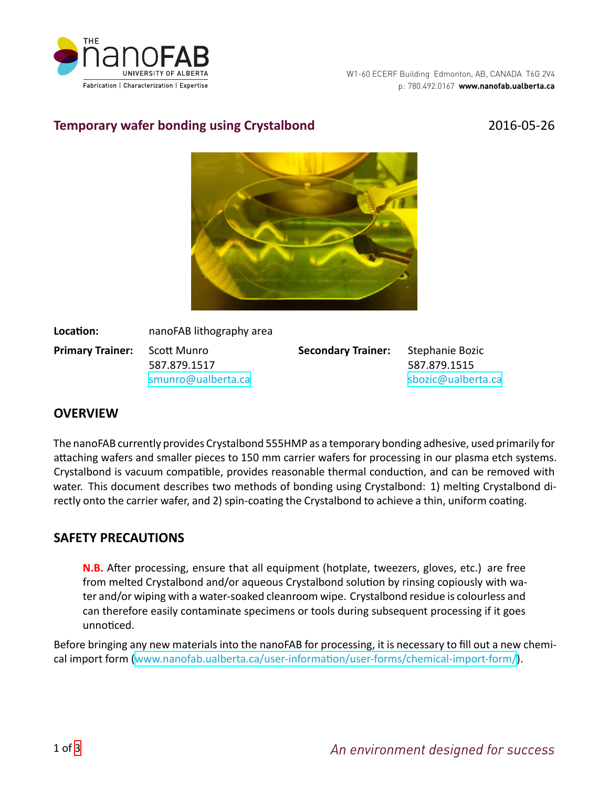

# **Temporary wafer bonding using Crystalbond** 2016-05-26



**Location:** nanoFAB lithography area

**Primary Trainer:** Scott Munro 587.879.1517 [smunro@ualberta.ca](mailto:smunro@ualberta.ca) **Secondary Trainer:** Stephanie Bozic

587.879.1515 [sbozic@ualberta.ca](mailto:sbozic@ualberta.ca)

#### **OVERVIEW**

The nanoFAB currently provides Crystalbond 555HMP as a temporary bonding adhesive, used primarily for attaching wafers and smaller pieces to 150 mm carrier wafers for processing in our plasma etch systems. Crystalbond is vacuum compatible, provides reasonable thermal conduction, and can be removed with water. This document describes two methods of bonding using Crystalbond: 1) melting Crystalbond directly onto the carrier wafer, and 2) spin-coating the Crystalbond to achieve a thin, uniform coating.

## **SAFETY PRECAUTIONS**

**N.B.** After processing, ensure that all equipment (hotplate, tweezers, gloves, etc.) are free from melted Crystalbond and/or aqueous Crystalbond solution by rinsing copiously with water and/or wiping with a water-soaked cleanroom wipe. Crystalbond residue is colourless and can therefore easily contaminate specimens or tools during subsequent processing if it goes unnoƟced.

Before bringing any new materials into the nanoFAB for processing, it is necessary to fill out a new chemicalimport form (www.nanofab.ualberta.ca/user-information/user-forms/chemical-import-form/).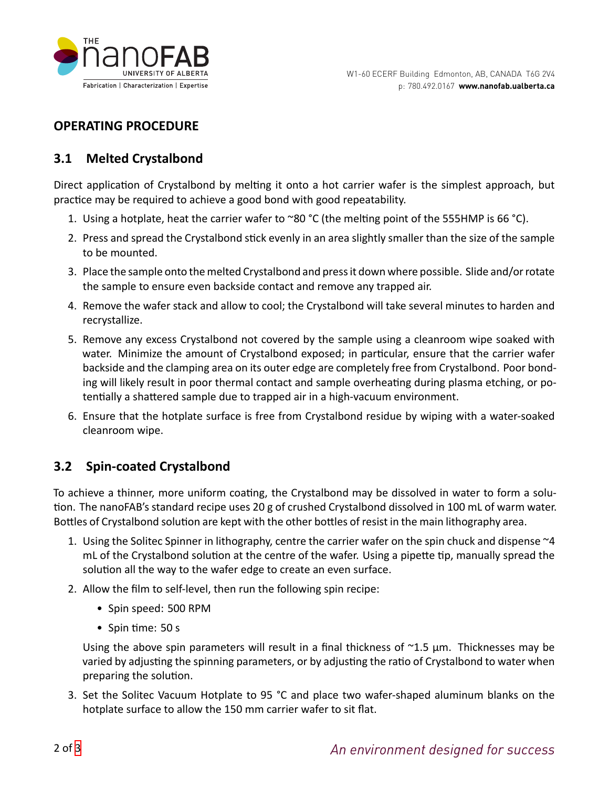

## **OPERATING PROCEDURE**

### **3.1 Melted Crystalbond**

Direct application of Crystalbond by melting it onto a hot carrier wafer is the simplest approach, but practice may be required to achieve a good bond with good repeatability.

- 1. Using a hotplate, heat the carrier wafer to ~80 °C (the melting point of the 555HMP is 66 °C).
- 2. Press and spread the Crystalbond stick evenly in an area slightly smaller than the size of the sample to be mounted.
- 3. Place the sample onto the melted Crystalbond and press it down where possible. Slide and/or rotate the sample to ensure even backside contact and remove any trapped air.
- 4. Remove the wafer stack and allow to cool; the Crystalbond will take several minutes to harden and recrystallize.
- 5. Remove any excess Crystalbond not covered by the sample using a cleanroom wipe soaked with water. Minimize the amount of Crystalbond exposed; in particular, ensure that the carrier wafer backside and the clamping area on its outer edge are completely free from Crystalbond. Poor bonding will likely result in poor thermal contact and sample overheating during plasma etching, or potentially a shattered sample due to trapped air in a high-vacuum environment.
- 6. Ensure that the hotplate surface is free from Crystalbond residue by wiping with a water-soaked cleanroom wipe.

## **3.2 Spin-coated Crystalbond**

To achieve a thinner, more uniform coating, the Crystalbond may be dissolved in water to form a solution. The nanoFAB's standard recipe uses 20 g of crushed Crystalbond dissolved in 100 mL of warm water. Bottles of Crystalbond solution are kept with the other bottles of resist in the main lithography area.

- 1. Using the Solitec Spinner in lithography, centre the carrier wafer on the spin chuck and dispense ~4 mL of the Crystalbond solution at the centre of the wafer. Using a pipette tip, manually spread the solution all the way to the wafer edge to create an even surface.
- 2. Allow the film to self-level, then run the following spin recipe:
	- Spin speed: 500 RPM
	- Spin time: 50 s

Using the above spin parameters will result in a final thickness of  $\gamma$ 1.5  $\mu$ m. Thicknesses may be varied by adjusting the spinning parameters, or by adjusting the ratio of Crystalbond to water when preparing the solution.

3. Set the Solitec Vacuum Hotplate to 95 °C and place two wafer-shaped aluminum blanks on the hotplate surface to allow the 150 mm carrier wafer to sit flat.